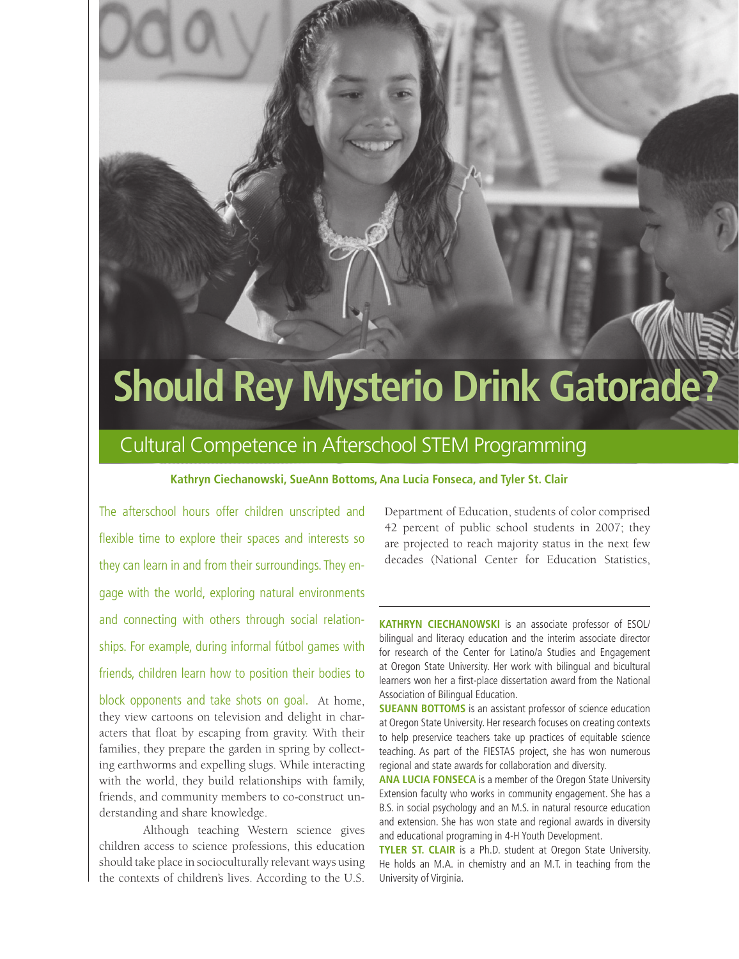# **Should Rey Mysterio Drink Gatorade?**

## Cultural Competence in Afterschool STEM Programming

#### **Kathryn Ciechanowski, SueAnn Bottoms, Ana Lucia Fonseca, and Tyler St. Clair**

The afterschool hours offer children unscripted and flexible time to explore their spaces and interests so they can learn in and from their surroundings. They engage with the world, exploring natural environments and connecting with others through social relationships. For example, during informal fútbol games with friends, children learn how to position their bodies to

block opponents and take shots on goal. At home, they view cartoons on television and delight in characters that float by escaping from gravity. With their families, they prepare the garden in spring by collecting earthworms and expelling slugs. While interacting with the world, they build relationships with family, friends, and community members to co-construct understanding and share knowledge.

Although teaching Western science gives children access to science professions, this education should take place in socioculturally relevant ways using the contexts of children's lives. According to the U.S.

Department of Education, students of color comprised 42 percent of public school students in 2007; they are projected to reach majority status in the next few decades (National Center for Education Statistics,

**KATHRYN CIECHANOWSKI** is an associate professor of ESOL/ bilingual and literacy education and the interim associate director for research of the Center for Latino/a Studies and Engagement at Oregon State University. Her work with bilingual and bicultural learners won her a first-place dissertation award from the National Association of Bilingual Education.

**SUEANN BOTTOMS** is an assistant professor of science education at Oregon State University. Her research focuses on creating contexts to help preservice teachers take up practices of equitable science teaching. As part of the FIESTAS project, she has won numerous regional and state awards for collaboration and diversity.

**ANA LUCIA FONSECA** is a member of the Oregon State University Extension faculty who works in community engagement. She has a B.S. in social psychology and an M.S. in natural resource education and extension. She has won state and regional awards in diversity and educational programing in 4-H Youth Development.

**TYLER ST. CLAIR** is a Ph.D. student at Oregon State University. He holds an M.A. in chemistry and an M.T. in teaching from the University of Virginia.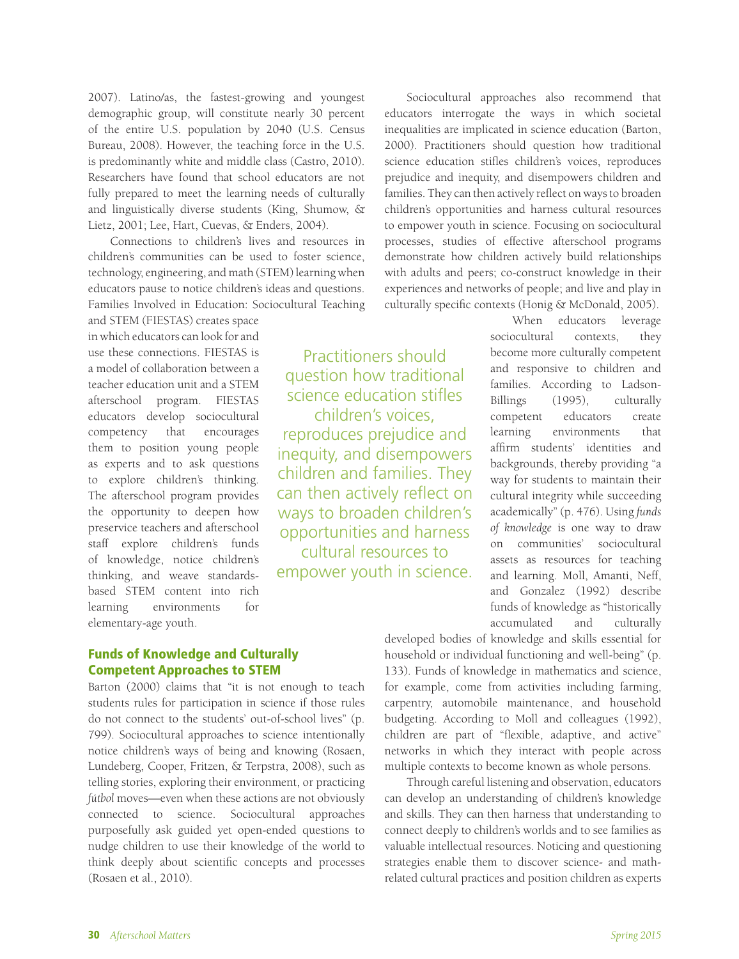2007). Latino/as, the fastest-growing and youngest demographic group, will constitute nearly 30 percent of the entire U.S. population by 2040 (U.S. Census Bureau, 2008). However, the teaching force in the U.S. is predominantly white and middle class (Castro, 2010). Researchers have found that school educators are not fully prepared to meet the learning needs of culturally and linguistically diverse students (King, Shumow, & Lietz, 2001; Lee, Hart, Cuevas, & Enders, 2004).

Connections to children's lives and resources in children's communities can be used to foster science, technology, engineering, and math (STEM) learning when educators pause to notice children's ideas and questions. Families Involved in Education: Sociocultural Teaching

and STEM (FIESTAS) creates space in which educators can look for and use these connections. FIESTAS is a model of collaboration between a teacher education unit and a STEM afterschool program. FIESTAS educators develop sociocultural competency that encourages them to position young people as experts and to ask questions to explore children's thinking. The afterschool program provides the opportunity to deepen how preservice teachers and afterschool staff explore children's funds of knowledge, notice children's thinking, and weave standardsbased STEM content into rich learning environments for elementary-age youth.

Practitioners should question how traditional science education stifles children's voices, reproduces prejudice and inequity, and disempowers children and families. They can then actively reflect on ways to broaden children's opportunities and harness cultural resources to empower youth in science.

Sociocultural approaches also recommend that educators interrogate the ways in which societal inequalities are implicated in science education (Barton, 2000). Practitioners should question how traditional science education stifles children's voices, reproduces prejudice and inequity, and disempowers children and families. They can then actively reflect on ways to broaden children's opportunities and harness cultural resources to empower youth in science. Focusing on sociocultural processes, studies of effective afterschool programs demonstrate how children actively build relationships with adults and peers; co-construct knowledge in their experiences and networks of people; and live and play in culturally specific contexts (Honig & McDonald, 2005).

> When educators leverage sociocultural contexts, they become more culturally competent and responsive to children and families. According to Ladson-Billings (1995), culturally competent educators create learning environments that affirm students' identities and backgrounds, thereby providing "a way for students to maintain their cultural integrity while succeeding academically" (p. 476). Using *funds of knowledge* is one way to draw on communities' sociocultural assets as resources for teaching and learning. Moll, Amanti, Neff, and Gonzalez (1992) describe funds of knowledge as "historically accumulated and culturally

#### Funds of Knowledge and Culturally Competent Approaches to STEM

Barton (2000) claims that "it is not enough to teach students rules for participation in science if those rules do not connect to the students' out-of-school lives" (p. 799). Sociocultural approaches to science intentionally notice children's ways of being and knowing (Rosaen, Lundeberg, Cooper, Fritzen, & Terpstra, 2008), such as telling stories, exploring their environment, or practicing fútbol moves—even when these actions are not obviously connected to science. Sociocultural approaches purposefully ask guided yet open-ended questions to nudge children to use their knowledge of the world to think deeply about scientific concepts and processes (Rosaen et al., 2010).

developed bodies of knowledge and skills essential for household or individual functioning and well-being" (p. 133). Funds of knowledge in mathematics and science, for example, come from activities including farming, carpentry, automobile maintenance, and household budgeting. According to Moll and colleagues (1992), children are part of "flexible, adaptive, and active" networks in which they interact with people across multiple contexts to become known as whole persons.

Through careful listening and observation, educators can develop an understanding of children's knowledge and skills. They can then harness that understanding to connect deeply to children's worlds and to see families as valuable intellectual resources. Noticing and questioning strategies enable them to discover science- and mathrelated cultural practices and position children as experts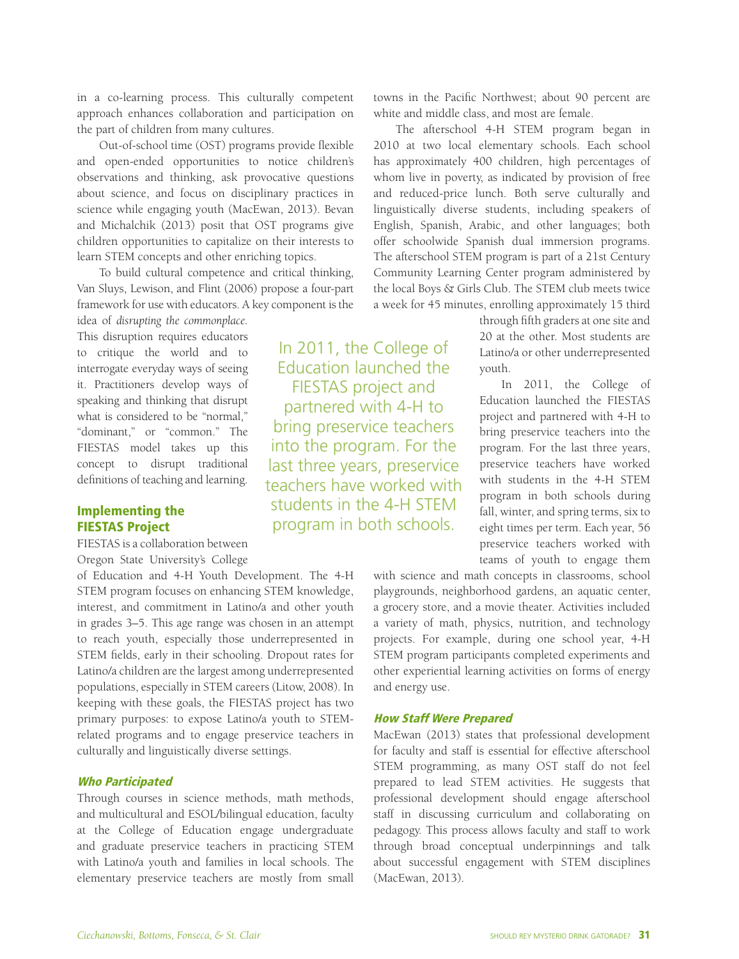in a co-learning process. This culturally competent approach enhances collaboration and participation on the part of children from many cultures.

Out-of-school time (OST) programs provide flexible and open-ended opportunities to notice children's observations and thinking, ask provocative questions about science, and focus on disciplinary practices in science while engaging youth (MacEwan, 2013). Bevan and Michalchik (2013) posit that OST programs give children opportunities to capitalize on their interests to learn STEM concepts and other enriching topics.

To build cultural competence and critical thinking, Van Sluys, Lewison, and Flint (2006) propose a four-part framework for use with educators. A key component is the

idea of *disrupting the commonplace.*  This disruption requires educators to critique the world and to interrogate everyday ways of seeing it. Practitioners develop ways of speaking and thinking that disrupt what is considered to be "normal," "dominant," or "common." The FIESTAS model takes up this concept to disrupt traditional definitions of teaching and learning.

#### Implementing the FIESTAS Project

FIESTAS is a collaboration between Oregon State University's College

of Education and 4-H Youth Development. The 4-H STEM program focuses on enhancing STEM knowledge, interest, and commitment in Latino/a and other youth in grades 3–5. This age range was chosen in an attempt to reach youth, especially those underrepresented in STEM fields, early in their schooling. Dropout rates for Latino/a children are the largest among underrepresented populations, especially in STEM careers (Litow, 2008). In keeping with these goals, the FIESTAS project has two primary purposes: to expose Latino/a youth to STEMrelated programs and to engage preservice teachers in culturally and linguistically diverse settings.

#### Who Participated

Through courses in science methods, math methods, and multicultural and ESOL/bilingual education, faculty at the College of Education engage undergraduate and graduate preservice teachers in practicing STEM with Latino/a youth and families in local schools. The elementary preservice teachers are mostly from small

In 2011, the College of Education launched the FIESTAS project and partnered with 4-H to bring preservice teachers into the program. For the last three years, preservice teachers have worked with students in the 4-H STEM program in both schools.

towns in the Pacific Northwest; about 90 percent are white and middle class, and most are female.

The afterschool 4-H STEM program began in 2010 at two local elementary schools. Each school has approximately 400 children, high percentages of whom live in poverty, as indicated by provision of free and reduced-price lunch. Both serve culturally and linguistically diverse students, including speakers of English, Spanish, Arabic, and other languages; both offer schoolwide Spanish dual immersion programs. The afterschool STEM program is part of a 21st Century Community Learning Center program administered by the local Boys & Girls Club. The STEM club meets twice a week for 45 minutes, enrolling approximately 15 third

> through fifth graders at one site and 20 at the other. Most students are Latino/a or other underrepresented youth.

> In 2011, the College of Education launched the FIESTAS project and partnered with 4-H to bring preservice teachers into the program. For the last three years, preservice teachers have worked with students in the 4-H STEM program in both schools during fall, winter, and spring terms, six to eight times per term. Each year, 56 preservice teachers worked with teams of youth to engage them

with science and math concepts in classrooms, school playgrounds, neighborhood gardens, an aquatic center, a grocery store, and a movie theater. Activities included a variety of math, physics, nutrition, and technology projects. For example, during one school year, 4-H STEM program participants completed experiments and other experiential learning activities on forms of energy and energy use.

#### How Staff Were Prepared

MacEwan (2013) states that professional development for faculty and staff is essential for effective afterschool STEM programming, as many OST staff do not feel prepared to lead STEM activities. He suggests that professional development should engage afterschool staff in discussing curriculum and collaborating on pedagogy. This process allows faculty and staff to work through broad conceptual underpinnings and talk about successful engagement with STEM disciplines (MacEwan, 2013).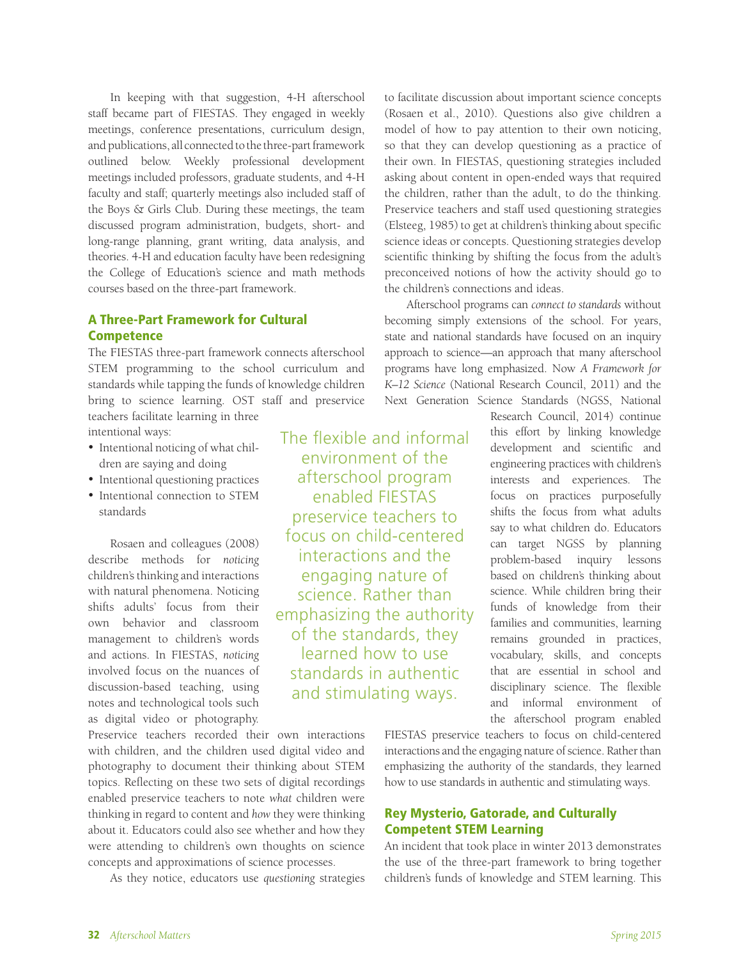In keeping with that suggestion, 4-H afterschool staff became part of FIESTAS. They engaged in weekly meetings, conference presentations, curriculum design, and publications, all connected to the three-part framework outlined below. Weekly professional development meetings included professors, graduate students, and 4-H faculty and staff; quarterly meetings also included staff of the Boys & Girls Club. During these meetings, the team discussed program administration, budgets, short- and long-range planning, grant writing, data analysis, and theories. 4-H and education faculty have been redesigning the College of Education's science and math methods courses based on the three-part framework.

#### A Three-Part Framework for Cultural **Competence**

The FIESTAS three-part framework connects afterschool STEM programming to the school curriculum and standards while tapping the funds of knowledge children bring to science learning. OST staff and preservice teachers facilitate learning in three

intentional ways:

- Intentional noticing of what children are saying and doing
- Intentional questioning practices
- Intentional connection to STEM standards

Rosaen and colleagues (2008) describe methods for *noticing*  children's thinking and interactions with natural phenomena. Noticing shifts adults' focus from their own behavior and classroom management to children's words and actions. In FIESTAS, *noticing* involved focus on the nuances of discussion-based teaching, using notes and technological tools such as digital video or photography.

Preservice teachers recorded their own interactions with children, and the children used digital video and photography to document their thinking about STEM topics. Reflecting on these two sets of digital recordings enabled preservice teachers to note *what* children were thinking in regard to content and *how* they were thinking about it. Educators could also see whether and how they were attending to children's own thoughts on science concepts and approximations of science processes.

As they notice, educators use *questioning* strategies

The flexible and informal environment of the afterschool program enabled FIESTAS preservice teachers to focus on child-centered interactions and the engaging nature of science. Rather than emphasizing the authority of the standards, they learned how to use standards in authentic and stimulating ways.

to facilitate discussion about important science concepts (Rosaen et al., 2010). Questions also give children a model of how to pay attention to their own noticing, so that they can develop questioning as a practice of their own. In FIESTAS, questioning strategies included asking about content in open-ended ways that required the children, rather than the adult, to do the thinking. Preservice teachers and staff used questioning strategies (Elsteeg, 1985) to get at children's thinking about specific science ideas or concepts. Questioning strategies develop scientific thinking by shifting the focus from the adult's preconceived notions of how the activity should go to the children's connections and ideas.

Afterschool programs can *connect to standards* without becoming simply extensions of the school. For years, state and national standards have focused on an inquiry approach to science—an approach that many afterschool programs have long emphasized. Now *A Framework for K–12 Science* (National Research Council, 2011) and the Next Generation Science Standards (NGSS, National

> Research Council, 2014) continue this effort by linking knowledge development and scientific and engineering practices with children's interests and experiences. The focus on practices purposefully shifts the focus from what adults say to what children do. Educators can target NGSS by planning problem-based inquiry lessons based on children's thinking about science. While children bring their funds of knowledge from their families and communities, learning remains grounded in practices, vocabulary, skills, and concepts that are essential in school and disciplinary science. The flexible and informal environment of the afterschool program enabled

FIESTAS preservice teachers to focus on child-centered interactions and the engaging nature of science. Rather than emphasizing the authority of the standards, they learned how to use standards in authentic and stimulating ways.

#### Rey Mysterio, Gatorade, and Culturally Competent STEM Learning

An incident that took place in winter 2013 demonstrates the use of the three-part framework to bring together children's funds of knowledge and STEM learning. This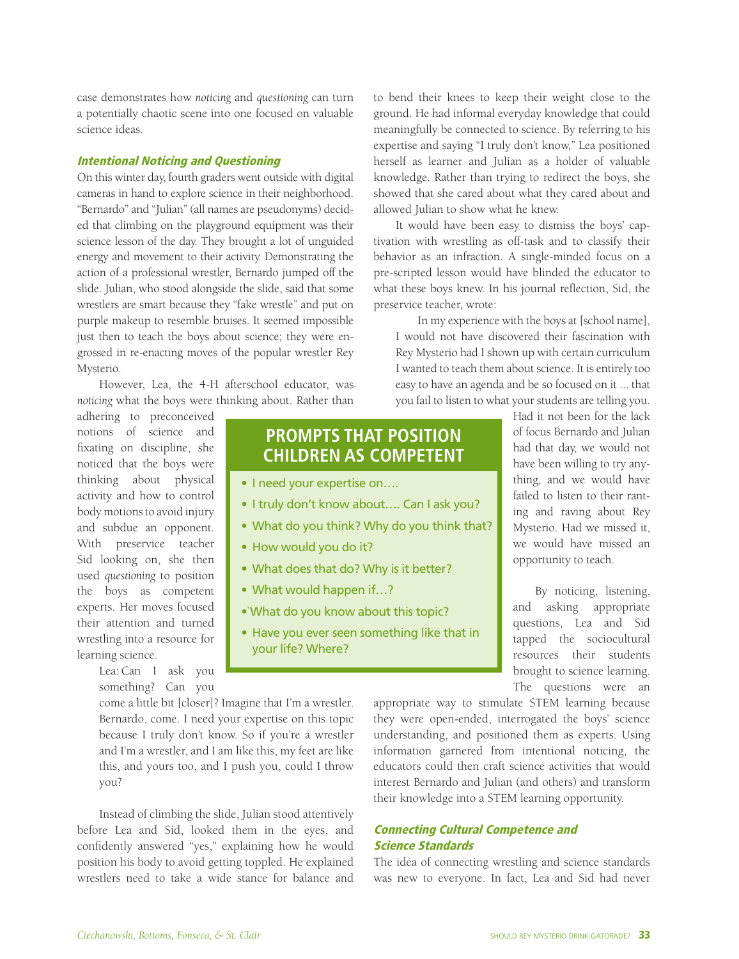case demonstrates how *noticing* and *questioning* can turn a potentially chaotic scene into one focused on valuable science ideas.

#### Intentional Noticing and Questioning

On this winter day, fourth graders went outside with digital cameras in hand to explore science in their neighborhood. "Bernardo" and "Julian" (all names are pseudonyms) decided that climbing on the playground equipment was their science lesson of the day. They brought a lot of unguided energy and movement to their activity. Demonstrating the action of a professional wrestler, Bernardo jumped off the slide. Julian, who stood alongside the slide, said that some wrestlers are smart because they "fake wrestle" and put on purple makeup to resemble bruises. It seemed impossible just then to teach the boys about science; they were engrossed in re-enacting moves of the popular wrestler Rey Mysterio.

However, Lea, the 4-H afterschool educator, was *noticing* what the boys were thinking about. Rather than

adhering to preconceived notions of science and fixating on discipline, she noticed that the boys were thinking about physical activity and how to control body motions to avoid injury and subdue an opponent. With preservice teacher Sid looking on, she then used *questioning* to position the boys as competent experts. Her moves focused their attention and turned wrestling into a resource for learning science.

> Lea: Can I ask you something? Can you

### **PROMPTS THAT POSITION CHILDREN AS COMPETENT**

- I need your expertise on....
- I truly don't know about.... Can I ask you?
- What do you think? Why do you think that?
- How would you do it?
- What does that do? Why is it better?
- What would happen if...?
- •`What do you know about this topic?
- Have you ever seen something like that in your life? Where?

come a little bit [closer]? Imagine that I'm a wrestler. Bernardo, come. I need your expertise on this topic because I truly don't know. So if you're a wrestler and I'm a wrestler, and I am like this, my feet are like this, and yours too, and I push you, could I throw you?

Instead of climbing the slide, Julian stood attentively before Lea and Sid, looked them in the eyes, and confidently answered "yes," explaining how he would position his body to avoid getting toppled. He explained wrestlers need to take a wide stance for balance and

to bend their knees to keep their weight close to the ground. He had informal everyday knowledge that could meaningfully be connected to science. By referring to his expertise and saying "I truly don't know," Lea positioned herself as learner and Julian as a holder of valuable knowledge. Rather than trying to redirect the boys, she showed that she cared about what they cared about and allowed Julian to show what he knew.

It would have been easy to dismiss the boys' captivation with wrestling as off-task and to classify their behavior as an infraction. A single-minded focus on a pre-scripted lesson would have blinded the educator to what these boys knew. In his journal reflection, Sid, the preservice teacher, wrote:

In my experience with the boys at [school name], I would not have discovered their fascination with Rey Mysterio had I shown up with certain curriculum I wanted to teach them about science. It is entirely too easy to have an agenda and be so focused on it ... that you fail to listen to what your students are telling you.

> Had it not been for the lack of focus Bernardo and Julian had that day, we would not have been willing to try anything, and we would have failed to listen to their ranting and raving about Rey Mysterio. Had we missed it, we would have missed an opportunity to teach.

> By noticing, listening, and asking appropriate questions, Lea and Sid tapped the sociocultural resources their students brought to science learning. The questions were an

appropriate way to stimulate STEM learning because they were open-ended, interrogated the boys' science understanding, and positioned them as experts. Using information garnered from intentional noticing, the educators could then craft science activities that would interest Bernardo and Julian (and others) and transform their knowledge into a STEM learning opportunity.

#### Connecting Cultural Competence and Science Standards

The idea of connecting wrestling and science standards was new to everyone. In fact, Lea and Sid had never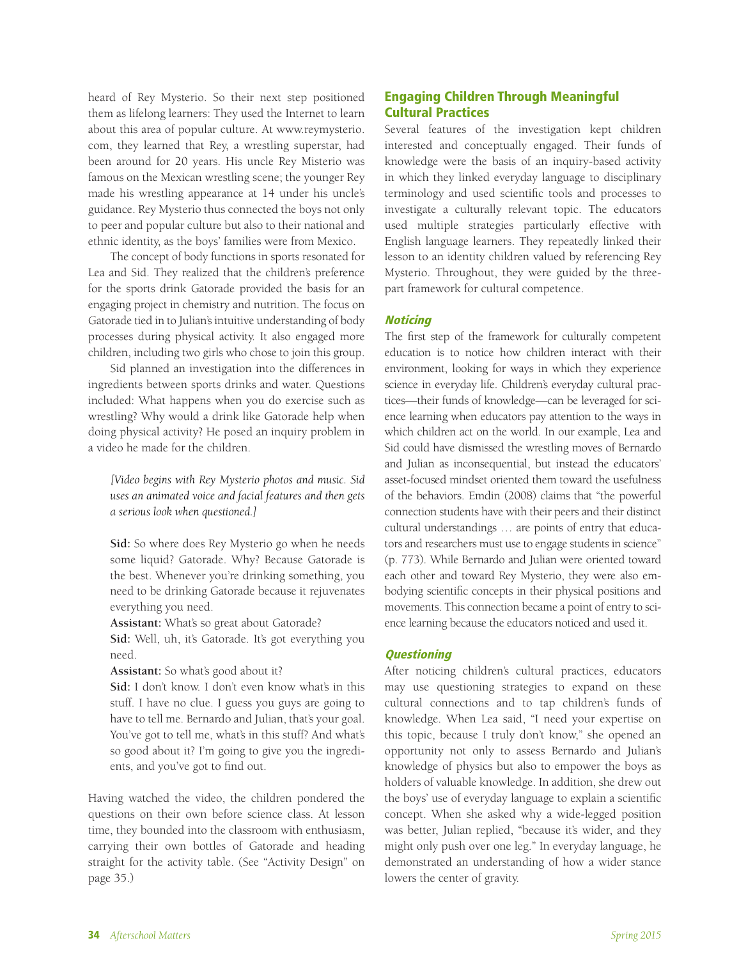heard of Rey Mysterio. So their next step positioned them as lifelong learners: They used the Internet to learn about this area of popular culture. At www.reymysterio. com, they learned that Rey, a wrestling superstar, had been around for 20 years. His uncle Rey Misterio was famous on the Mexican wrestling scene; the younger Rey made his wrestling appearance at 14 under his uncle's guidance. Rey Mysterio thus connected the boys not only to peer and popular culture but also to their national and ethnic identity, as the boys' families were from Mexico.

The concept of body functions in sports resonated for Lea and Sid. They realized that the children's preference for the sports drink Gatorade provided the basis for an engaging project in chemistry and nutrition. The focus on Gatorade tied in to Julian's intuitive understanding of body processes during physical activity. It also engaged more children, including two girls who chose to join this group.

Sid planned an investigation into the differences in ingredients between sports drinks and water. Questions included: What happens when you do exercise such as wrestling? Why would a drink like Gatorade help when doing physical activity? He posed an inquiry problem in a video he made for the children.

*[Video begins with Rey Mysterio photos and music. Sid uses an animated voice and facial features and then gets a serious look when questioned.]*

**Sid:** So where does Rey Mysterio go when he needs some liquid? Gatorade. Why? Because Gatorade is the best. Whenever you're drinking something, you need to be drinking Gatorade because it rejuvenates everything you need.

**Assistant:** What's so great about Gatorade?

**Sid:** Well, uh, it's Gatorade. It's got everything you need.

**Assistant:** So what's good about it?

**Sid:** I don't know. I don't even know what's in this stuff. I have no clue. I guess you guys are going to have to tell me. Bernardo and Julian, that's your goal. You've got to tell me, what's in this stuff? And what's so good about it? I'm going to give you the ingredients, and you've got to find out.

Having watched the video, the children pondered the questions on their own before science class. At lesson time, they bounded into the classroom with enthusiasm, carrying their own bottles of Gatorade and heading straight for the activity table. (See "Activity Design" on page 35.)

#### Engaging Children Through Meaningful Cultural Practices

Several features of the investigation kept children interested and conceptually engaged. Their funds of knowledge were the basis of an inquiry-based activity in which they linked everyday language to disciplinary terminology and used scientific tools and processes to investigate a culturally relevant topic. The educators used multiple strategies particularly effective with English language learners. They repeatedly linked their lesson to an identity children valued by referencing Rey Mysterio. Throughout, they were guided by the threepart framework for cultural competence.

#### **Noticing**

The first step of the framework for culturally competent education is to notice how children interact with their environment, looking for ways in which they experience science in everyday life. Children's everyday cultural practices—their funds of knowledge—can be leveraged for science learning when educators pay attention to the ways in which children act on the world. In our example, Lea and Sid could have dismissed the wrestling moves of Bernardo and Julian as inconsequential, but instead the educators' asset-focused mindset oriented them toward the usefulness of the behaviors. Emdin (2008) claims that "the powerful connection students have with their peers and their distinct cultural understandings … are points of entry that educators and researchers must use to engage students in science" (p. 773). While Bernardo and Julian were oriented toward each other and toward Rey Mysterio, they were also embodying scientific concepts in their physical positions and movements. This connection became a point of entry to science learning because the educators noticed and used it.

#### **Questioning**

After noticing children's cultural practices, educators may use questioning strategies to expand on these cultural connections and to tap children's funds of knowledge. When Lea said, "I need your expertise on this topic, because I truly don't know," she opened an opportunity not only to assess Bernardo and Julian's knowledge of physics but also to empower the boys as holders of valuable knowledge. In addition, she drew out the boys' use of everyday language to explain a scientific concept. When she asked why a wide-legged position was better, Julian replied, "because it's wider, and they might only push over one leg." In everyday language, he demonstrated an understanding of how a wider stance lowers the center of gravity.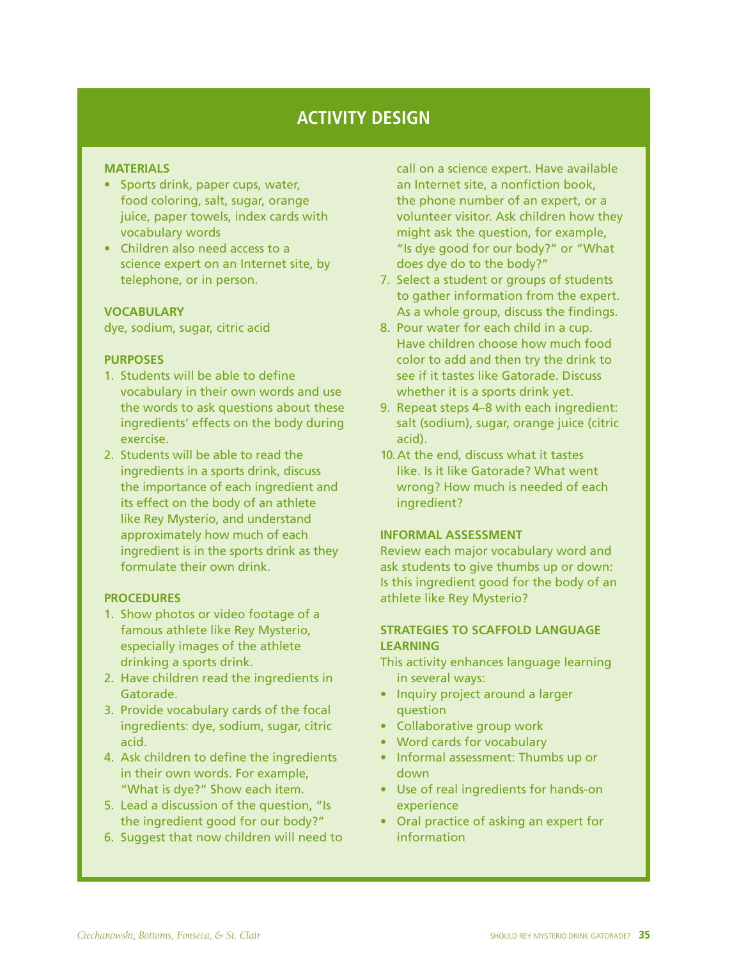## **ACTIVITY DESIGN**

#### **MATERIALS**

- Sports drink, paper cups, water, food coloring, salt, sugar, orange juice, paper towels, index cards with vocabulary words
- • Children also need access to a science expert on an Internet site, by telephone, or in person.

#### **VOCABULARY**

dye, sodium, sugar, citric acid

#### **PURPOSES**

- 1. Students will be able to define vocabulary in their own words and use the words to ask questions about these ingredients' effects on the body during exercise.
- 2. Students will be able to read the ingredients in a sports drink, discuss the importance of each ingredient and its effect on the body of an athlete like Rey Mysterio, and understand approximately how much of each ingredient is in the sports drink as they formulate their own drink.

#### **PROCEDURES**

- 1. Show photos or video footage of a famous athlete like Rey Mysterio, especially images of the athlete drinking a sports drink.
- 2. Have children read the ingredients in Gatorade.
- 3. Provide vocabulary cards of the focal ingredients: dye, sodium, sugar, citric acid.
- 4. Ask children to define the ingredients in their own words. For example, "What is dye?" Show each item.
- 5. Lead a discussion of the question, "Is the ingredient good for our body?"
- 6. Suggest that now children will need to

call on a science expert. Have available an Internet site, a nonfiction book, the phone number of an expert, or a volunteer visitor. Ask children how they might ask the question, for example, "Is dye good for our body?" or "What does dye do to the body?"

- 7. Select a student or groups of students to gather information from the expert. As a whole group, discuss the findings.
- 8. Pour water for each child in a cup. Have children choose how much food color to add and then try the drink to see if it tastes like Gatorade. Discuss whether it is a sports drink yet.
- 9. Repeat steps 4–8 with each ingredient: salt (sodium), sugar, orange juice (citric acid).
- 10.At the end, discuss what it tastes like. Is it like Gatorade? What went wrong? How much is needed of each ingredient?

#### **INFORMAL ASSESSMENT**

Review each major vocabulary word and ask students to give thumbs up or down: Is this ingredient good for the body of an athlete like Rey Mysterio?

#### **STRATEGIES TO SCAFFOLD LANGUAGE LEARNING**

- This activity enhances language learning in several ways:
- Inquiry project around a larger question
- Collaborative group work
- Word cards for vocabulary
- Informal assessment: Thumbs up or down
- • Use of real ingredients for hands-on experience
- Oral practice of asking an expert for information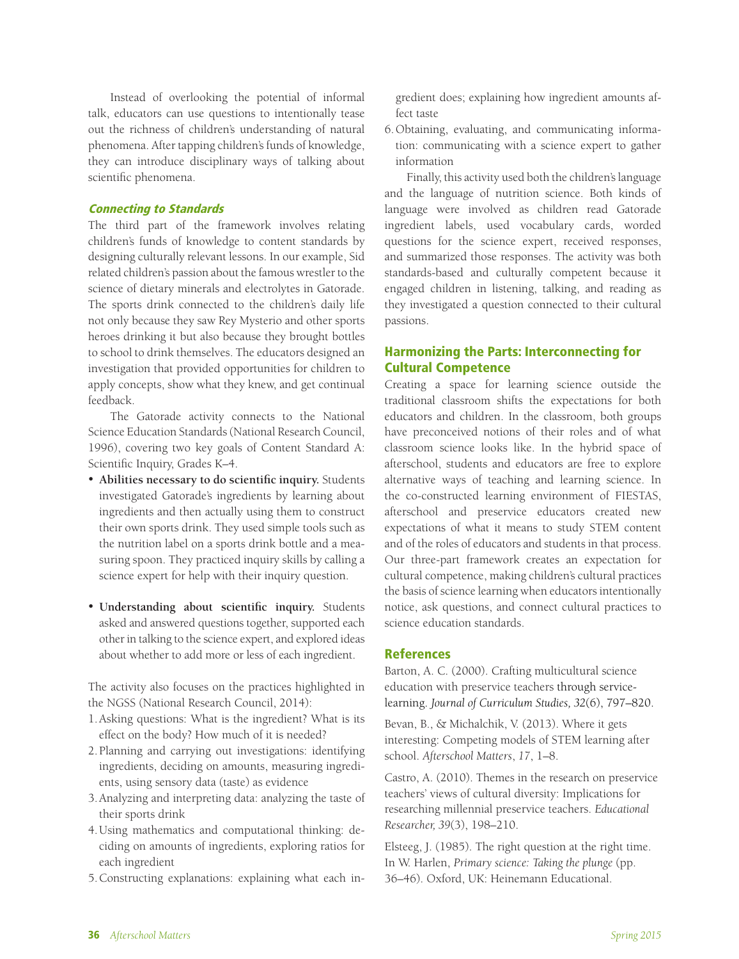Instead of overlooking the potential of informal talk, educators can use questions to intentionally tease out the richness of children's understanding of natural phenomena. After tapping children's funds of knowledge, they can introduce disciplinary ways of talking about scientific phenomena.

#### Connecting to Standards

The third part of the framework involves relating children's funds of knowledge to content standards by designing culturally relevant lessons. In our example, Sid related children's passion about the famous wrestler to the science of dietary minerals and electrolytes in Gatorade. The sports drink connected to the children's daily life not only because they saw Rey Mysterio and other sports heroes drinking it but also because they brought bottles to school to drink themselves. The educators designed an investigation that provided opportunities for children to apply concepts, show what they knew, and get continual feedback.

The Gatorade activity connects to the National Science Education Standards (National Research Council, 1996), covering two key goals of Content Standard A: Scientific Inquiry, Grades K–4.

- • **Abilities necessary to do scientific inquiry.** Students investigated Gatorade's ingredients by learning about ingredients and then actually using them to construct their own sports drink. They used simple tools such as the nutrition label on a sports drink bottle and a measuring spoon. They practiced inquiry skills by calling a science expert for help with their inquiry question.
- • **Understanding about scientific inquiry.** Students asked and answered questions together, supported each other in talking to the science expert, and explored ideas about whether to add more or less of each ingredient.

The activity also focuses on the practices highlighted in the NGSS (National Research Council, 2014):

- 1.Asking questions: What is the ingredient? What is its effect on the body? How much of it is needed?
- 2.Planning and carrying out investigations: identifying ingredients, deciding on amounts, measuring ingredients, using sensory data (taste) as evidence
- 3.Analyzing and interpreting data: analyzing the taste of their sports drink
- 4.Using mathematics and computational thinking: deciding on amounts of ingredients, exploring ratios for each ingredient
- 5.Constructing explanations: explaining what each in-

gredient does; explaining how ingredient amounts affect taste

6.Obtaining, evaluating, and communicating information: communicating with a science expert to gather information

Finally, this activity used both the children's language and the language of nutrition science. Both kinds of language were involved as children read Gatorade ingredient labels, used vocabulary cards, worded questions for the science expert, received responses, and summarized those responses. The activity was both standards-based and culturally competent because it engaged children in listening, talking, and reading as they investigated a question connected to their cultural passions.

#### Harmonizing the Parts: Interconnecting for Cultural Competence

Creating a space for learning science outside the traditional classroom shifts the expectations for both educators and children. In the classroom, both groups have preconceived notions of their roles and of what classroom science looks like. In the hybrid space of afterschool, students and educators are free to explore alternative ways of teaching and learning science. In the co-constructed learning environment of FIESTAS, afterschool and preservice educators created new expectations of what it means to study STEM content and of the roles of educators and students in that process. Our three-part framework creates an expectation for cultural competence, making children's cultural practices the basis of science learning when educators intentionally notice, ask questions, and connect cultural practices to science education standards.

#### References

Barton, A. C. (2000). Crafting multicultural science education with preservice teachers through servicelearning. *Journal of Curriculum Studies, 32*(6), 797–820.

Bevan, B., & Michalchik, V. (2013). Where it gets interesting: Competing models of STEM learning after school. *Afterschool Matters*, *17*, 1–8.

Castro, A. (2010). Themes in the research on preservice teachers' views of cultural diversity: Implications for researching millennial preservice teachers. *Educational Researcher, 39*(3), 198–210.

Elsteeg, J. (1985). The right question at the right time. In W. Harlen, *Primary science: Taking the plunge* (pp. 36–46). Oxford, UK: Heinemann Educational.